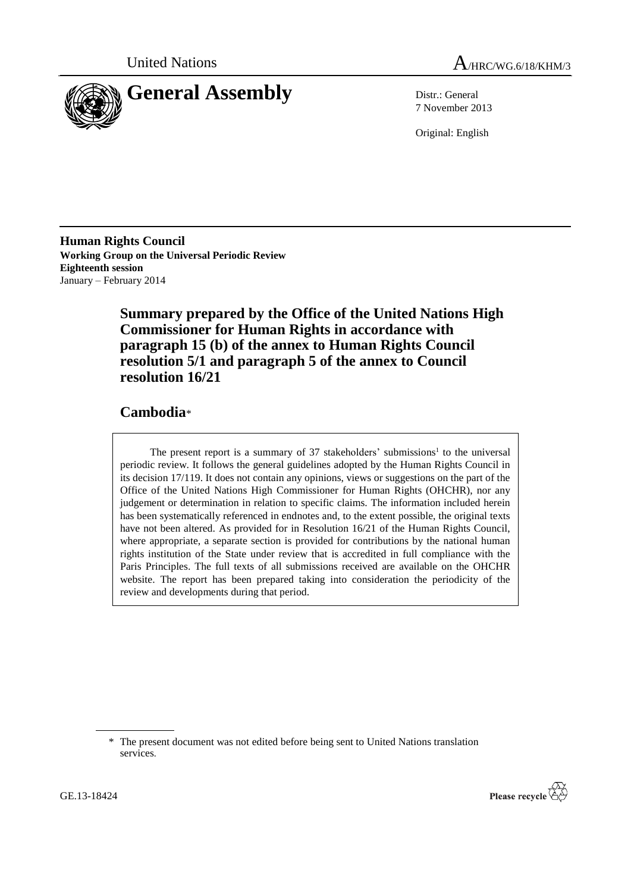



7 November 2013

Original: English

**Human Rights Council Working Group on the Universal Periodic Review Eighteenth session** January – February 2014

> **Summary prepared by the Office of the United Nations High Commissioner for Human Rights in accordance with paragraph 15 (b) of the annex to Human Rights Council resolution 5/1 and paragraph 5 of the annex to Council resolution 16/21**

## **Cambodia**\*

The present report is a summary of  $37$  stakeholders' submissions<sup>1</sup> to the universal periodic review. It follows the general guidelines adopted by the Human Rights Council in its decision 17/119. It does not contain any opinions, views or suggestions on the part of the Office of the United Nations High Commissioner for Human Rights (OHCHR), nor any judgement or determination in relation to specific claims. The information included herein has been systematically referenced in endnotes and, to the extent possible, the original texts have not been altered. As provided for in Resolution 16/21 of the Human Rights Council, where appropriate, a separate section is provided for contributions by the national human rights institution of the State under review that is accredited in full compliance with the Paris Principles. The full texts of all submissions received are available on the OHCHR website. The report has been prepared taking into consideration the periodicity of the review and developments during that period.



<sup>\*</sup> The present document was not edited before being sent to United Nations translation services.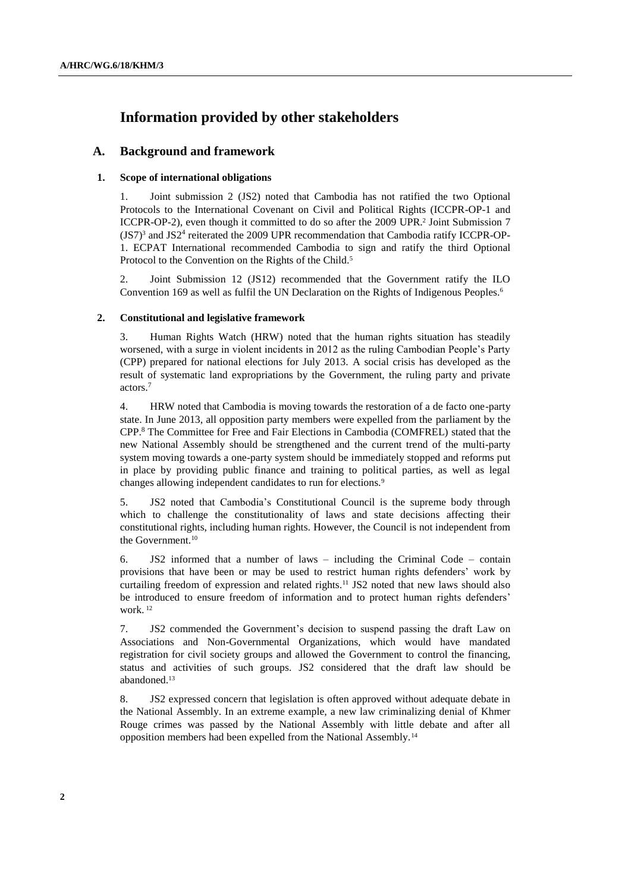# **Information provided by other stakeholders**

## **A. Background and framework**

## **1. Scope of international obligations**

1. Joint submission 2 (JS2) noted that Cambodia has not ratified the two Optional Protocols to the International Covenant on Civil and Political Rights (ICCPR-OP-1 and ICCPR-OP-2), even though it committed to do so after the 2009 UPR.<sup>2</sup> Joint Submission 7  $(JS7)<sup>3</sup>$  and  $JS2<sup>4</sup>$  reiterated the 2009 UPR recommendation that Cambodia ratify ICCPR-OP-1. ECPAT International recommended Cambodia to sign and ratify the third Optional Protocol to the Convention on the Rights of the Child.<sup>5</sup>

2. Joint Submission 12 (JS12) recommended that the Government ratify the ILO Convention 169 as well as fulfil the UN Declaration on the Rights of Indigenous Peoples.<sup>6</sup>

### **2. Constitutional and legislative framework**

3. Human Rights Watch (HRW) noted that the human rights situation has steadily worsened, with a surge in violent incidents in 2012 as the ruling Cambodian People's Party (CPP) prepared for national elections for July 2013. A social crisis has developed as the result of systematic land expropriations by the Government, the ruling party and private actors. 7

4. HRW noted that Cambodia is moving towards the restoration of a de facto one-party state. In June 2013, all opposition party members were expelled from the parliament by the CPP.<sup>8</sup> The Committee for Free and Fair Elections in Cambodia (COMFREL) stated that the new National Assembly should be strengthened and the current trend of the multi-party system moving towards a one-party system should be immediately stopped and reforms put in place by providing public finance and training to political parties, as well as legal changes allowing independent candidates to run for elections.<sup>9</sup>

5. JS2 noted that Cambodia's Constitutional Council is the supreme body through which to challenge the constitutionality of laws and state decisions affecting their constitutional rights, including human rights. However, the Council is not independent from the Government. 10

6. JS2 informed that a number of laws – including the Criminal Code – contain provisions that have been or may be used to restrict human rights defenders' work by curtailing freedom of expression and related rights. <sup>11</sup> JS2 noted that new laws should also be introduced to ensure freedom of information and to protect human rights defenders' work. <sup>12</sup>

7. JS2 commended the Government's decision to suspend passing the draft Law on Associations and Non-Governmental Organizations, which would have mandated registration for civil society groups and allowed the Government to control the financing, status and activities of such groups. JS2 considered that the draft law should be abandoned.<sup>13</sup>

8. JS2 expressed concern that legislation is often approved without adequate debate in the National Assembly. In an extreme example, a new law criminalizing denial of Khmer Rouge crimes was passed by the National Assembly with little debate and after all opposition members had been expelled from the National Assembly.14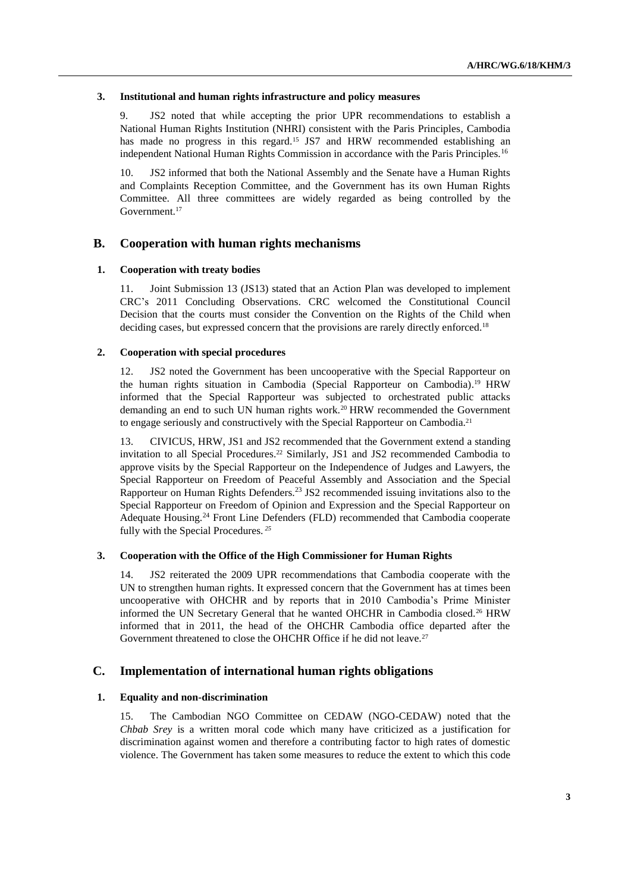## **3. Institutional and human rights infrastructure and policy measures**

9. JS2 noted that while accepting the prior UPR recommendations to establish a National Human Rights Institution (NHRI) consistent with the Paris Principles, Cambodia has made no progress in this regard.<sup>15</sup> JS7 and HRW recommended establishing an independent National Human Rights Commission in accordance with the Paris Principles.<sup>16</sup>

10. JS2 informed that both the National Assembly and the Senate have a Human Rights and Complaints Reception Committee, and the Government has its own Human Rights Committee. All three committees are widely regarded as being controlled by the Government.<sup>17</sup>

## **B. Cooperation with human rights mechanisms**

## **1. Cooperation with treaty bodies**

11. Joint Submission 13 (JS13) stated that an Action Plan was developed to implement CRC's 2011 Concluding Observations. CRC welcomed the Constitutional Council Decision that the courts must consider the Convention on the Rights of the Child when deciding cases, but expressed concern that the provisions are rarely directly enforced.<sup>18</sup>

## **2. Cooperation with special procedures**

12. JS2 noted the Government has been uncooperative with the Special Rapporteur on the human rights situation in Cambodia (Special Rapporteur on Cambodia). <sup>19</sup> HRW informed that the Special Rapporteur was subjected to orchestrated public attacks demanding an end to such UN human rights work.<sup>20</sup> HRW recommended the Government to engage seriously and constructively with the Special Rapporteur on Cambodia.<sup>21</sup>

13. CIVICUS, HRW, JS1 and JS2 recommended that the Government extend a standing invitation to all Special Procedures. <sup>22</sup> Similarly, JS1 and JS2 recommended Cambodia to approve visits by the Special Rapporteur on the Independence of Judges and Lawyers, the Special Rapporteur on Freedom of Peaceful Assembly and Association and the Special Rapporteur on Human Rights Defenders.<sup>23</sup> JS2 recommended issuing invitations also to the Special Rapporteur on Freedom of Opinion and Expression and the Special Rapporteur on Adequate Housing.<sup>24</sup> Front Line Defenders (FLD) recommended that Cambodia cooperate fully with the Special Procedures. *<sup>25</sup>*

#### **3. Cooperation with the Office of the High Commissioner for Human Rights**

14. JS2 reiterated the 2009 UPR recommendations that Cambodia cooperate with the UN to strengthen human rights. It expressed concern that the Government has at times been uncooperative with OHCHR and by reports that in 2010 Cambodia's Prime Minister informed the UN Secretary General that he wanted OHCHR in Cambodia closed.<sup>26</sup> HRW informed that in 2011, the head of the OHCHR Cambodia office departed after the Government threatened to close the OHCHR Office if he did not leave.<sup>27</sup>

## **C. Implementation of international human rights obligations**

## **1. Equality and non-discrimination**

15. The Cambodian NGO Committee on CEDAW (NGO-CEDAW) noted that the *Chbab Srey* is a written moral code which many have criticized as a justification for discrimination against women and therefore a contributing factor to high rates of domestic violence. The Government has taken some measures to reduce the extent to which this code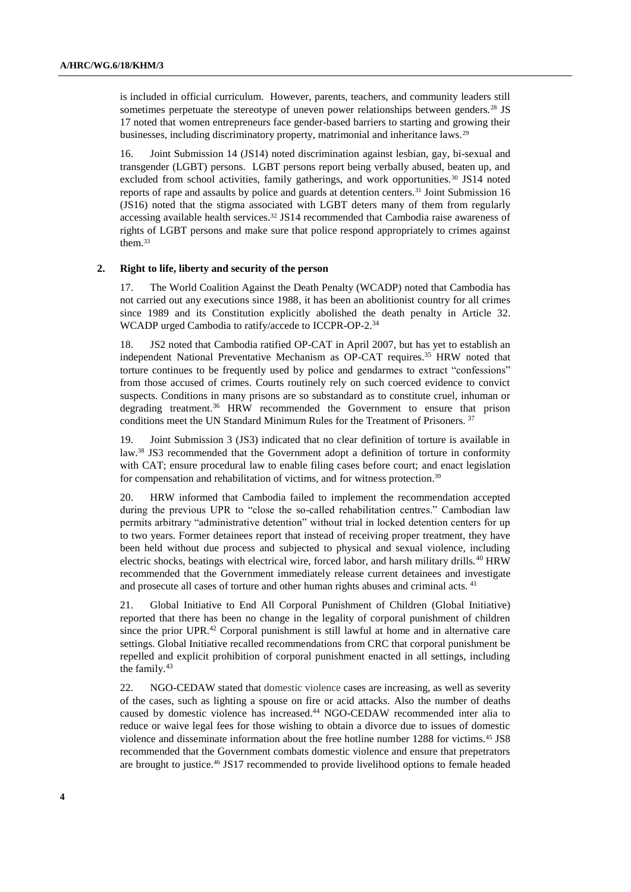is included in official curriculum. However, parents, teachers, and community leaders still sometimes perpetuate the stereotype of uneven power relationships between genders.<sup>28</sup> JS 17 noted that women entrepreneurs face gender-based barriers to starting and growing their businesses, including discriminatory property, matrimonial and inheritance laws.<sup>29</sup>

16. Joint Submission 14 (JS14) noted discrimination against lesbian, gay, bi-sexual and transgender (LGBT) persons. LGBT persons report being verbally abused, beaten up, and excluded from school activities, family gatherings, and work opportunities.<sup>30</sup> JS14 noted reports of rape and assaults by police and guards at detention centers.<sup>31</sup> Joint Submission 16 (JS16) noted that the stigma associated with LGBT deters many of them from regularly accessing available health services.<sup>32</sup> JS14 recommended that Cambodia raise awareness of rights of LGBT persons and make sure that police respond appropriately to crimes against them. 33

#### **2. Right to life, liberty and security of the person**

17. The World Coalition Against the Death Penalty (WCADP) noted that Cambodia has not carried out any executions since 1988, it has been an abolitionist country for all crimes since 1989 and its Constitution explicitly abolished the death penalty in Article 32. WCADP urged Cambodia to ratify/accede to ICCPR-OP-2. 34

18. JS2 noted that Cambodia ratified OP-CAT in April 2007, but has yet to establish an independent National Preventative Mechanism as OP-CAT requires.<sup>35</sup> HRW noted that torture continues to be frequently used by police and gendarmes to extract "confessions" from those accused of crimes. Courts routinely rely on such coerced evidence to convict suspects. Conditions in many prisons are so substandard as to constitute cruel, inhuman or degrading treatment.<sup>36</sup> HRW recommended the Government to ensure that prison conditions meet the UN Standard Minimum Rules for the Treatment of Prisoners. <sup>37</sup>

19. Joint Submission 3 (JS3) indicated that no clear definition of torture is available in law.<sup>38</sup> JS3 recommended that the Government adopt a definition of torture in conformity with CAT; ensure procedural law to enable filing cases before court; and enact legislation for compensation and rehabilitation of victims, and for witness protection.<sup>39</sup>

20. HRW informed that Cambodia failed to implement the recommendation accepted during the previous UPR to "close the so-called rehabilitation centres." Cambodian law permits arbitrary "administrative detention" without trial in locked detention centers for up to two years. Former detainees report that instead of receiving proper treatment, they have been held without due process and subjected to physical and sexual violence, including electric shocks, beatings with electrical wire, forced labor, and harsh military drills.<sup>40</sup> HRW recommended that the Government immediately release current detainees and investigate and prosecute all cases of torture and other human rights abuses and criminal acts. <sup>41</sup>

21. Global Initiative to End All Corporal Punishment of Children (Global Initiative) reported that there has been no change in the legality of corporal punishment of children since the prior UPR.<sup>42</sup> Corporal punishment is still lawful at home and in alternative care settings. Global Initiative recalled recommendations from CRC that corporal punishment be repelled and explicit prohibition of corporal punishment enacted in all settings, including the family.<sup>43</sup>

22. NGO-CEDAW stated that domestic violence cases are increasing, as well as severity of the cases, such as lighting a spouse on fire or acid attacks. Also the number of deaths caused by domestic violence has increased. <sup>44</sup> NGO-CEDAW recommended inter alia to reduce or waive legal fees for those wishing to obtain a divorce due to issues of domestic violence and disseminate information about the free hotline number 1288 for victims.<sup>45</sup> JS8 recommended that the Government combats domestic violence and ensure that prepetrators are brought to justice.<sup>46</sup> JS17 recommended to provide livelihood options to female headed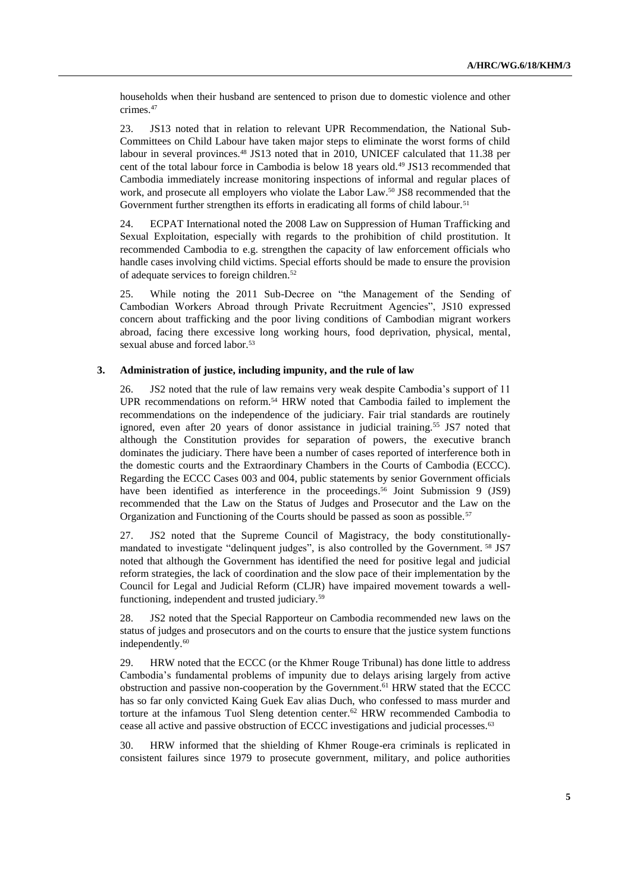households when their husband are sentenced to prison due to domestic violence and other crimes. 47

23. JS13 noted that in relation to relevant UPR Recommendation, the National Sub-Committees on Child Labour have taken major steps to eliminate the worst forms of child labour in several provinces.<sup>48</sup> JS13 noted that in 2010, UNICEF calculated that 11.38 per cent of the total labour force in Cambodia is below 18 years old.<sup>49</sup> JS13 recommended that Cambodia immediately increase monitoring inspections of informal and regular places of work, and prosecute all employers who violate the Labor Law.<sup>50</sup> JS8 recommended that the Government further strengthen its efforts in eradicating all forms of child labour.<sup>51</sup>

24. ECPAT International noted the 2008 Law on Suppression of Human Trafficking and Sexual Exploitation, especially with regards to the prohibition of child prostitution. It recommended Cambodia to e.g. strengthen the capacity of law enforcement officials who handle cases involving child victims. Special efforts should be made to ensure the provision of adequate services to foreign children.<sup>52</sup>

25. While noting the 2011 Sub-Decree on "the Management of the Sending of Cambodian Workers Abroad through Private Recruitment Agencies", JS10 expressed concern about trafficking and the poor living conditions of Cambodian migrant workers abroad, facing there excessive long working hours, food deprivation, physical, mental, sexual abuse and forced labor.<sup>53</sup>

#### **3. Administration of justice, including impunity, and the rule of law**

26. JS2 noted that the rule of law remains very weak despite Cambodia's support of 11 UPR recommendations on reform. <sup>54</sup> HRW noted that Cambodia failed to implement the recommendations on the independence of the judiciary. Fair trial standards are routinely ignored, even after 20 years of donor assistance in judicial training.<sup>55</sup> JS7 noted that although the Constitution provides for separation of powers, the executive branch dominates the judiciary. There have been a number of cases reported of interference both in the domestic courts and the Extraordinary Chambers in the Courts of Cambodia (ECCC). Regarding the ECCC Cases 003 and 004, public statements by senior Government officials have been identified as interference in the proceedings.<sup>56</sup> Joint Submission 9 (JS9) recommended that the Law on the Status of Judges and Prosecutor and the Law on the Organization and Functioning of the Courts should be passed as soon as possible.<sup>57</sup>

27. JS2 noted that the Supreme Council of Magistracy, the body constitutionallymandated to investigate "delinquent judges", is also controlled by the Government. <sup>58</sup> JS7 noted that although the Government has identified the need for positive legal and judicial reform strategies, the lack of coordination and the slow pace of their implementation by the Council for Legal and Judicial Reform (CLJR) have impaired movement towards a wellfunctioning, independent and trusted judiciary.<sup>59</sup>

28. JS2 noted that the Special Rapporteur on Cambodia recommended new laws on the status of judges and prosecutors and on the courts to ensure that the justice system functions independently.<sup>60</sup>

29. HRW noted that the ECCC (or the Khmer Rouge Tribunal) has done little to address Cambodia's fundamental problems of impunity due to delays arising largely from active obstruction and passive non-cooperation by the Government. <sup>61</sup> HRW stated that the ECCC has so far only convicted Kaing Guek Eav alias Duch, who confessed to mass murder and torture at the infamous Tuol Sleng detention center.<sup>62</sup> HRW recommended Cambodia to cease all active and passive obstruction of ECCC investigations and judicial processes.<sup>63</sup>

30. HRW informed that the shielding of Khmer Rouge-era criminals is replicated in consistent failures since 1979 to prosecute government, military, and police authorities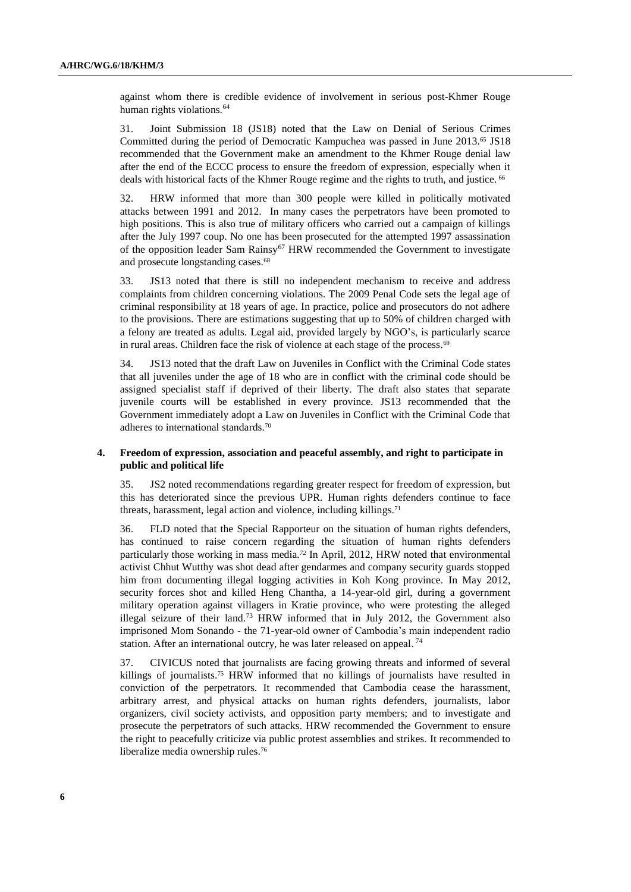against whom there is credible evidence of involvement in serious post-Khmer Rouge human rights violations.<sup>64</sup>

31. Joint Submission 18 (JS18) noted that the Law on Denial of Serious Crimes Committed during the period of Democratic Kampuchea was passed in June 2013.<sup>65</sup> JS18 recommended that the Government make an amendment to the Khmer Rouge denial law after the end of the ECCC process to ensure the freedom of expression, especially when it deals with historical facts of the Khmer Rouge regime and the rights to truth, and justice. <sup>66</sup>

32. HRW informed that more than 300 people were killed in politically motivated attacks between 1991 and 2012. In many cases the perpetrators have been promoted to high positions. This is also true of military officers who carried out a campaign of killings after the July 1997 coup. No one has been prosecuted for the attempted 1997 assassination of the opposition leader Sam Rainsy<sup>67</sup> HRW recommended the Government to investigate and prosecute longstanding cases.<sup>68</sup>

33. JS13 noted that there is still no independent mechanism to receive and address complaints from children concerning violations. The 2009 Penal Code sets the legal age of criminal responsibility at 18 years of age. In practice, police and prosecutors do not adhere to the provisions. There are estimations suggesting that up to 50% of children charged with a felony are treated as adults. Legal aid, provided largely by NGO's, is particularly scarce in rural areas. Children face the risk of violence at each stage of the process.<sup>69</sup>

34. JS13 noted that the draft Law on Juveniles in Conflict with the Criminal Code states that all juveniles under the age of 18 who are in conflict with the criminal code should be assigned specialist staff if deprived of their liberty. The draft also states that separate juvenile courts will be established in every province. JS13 recommended that the Government immediately adopt a Law on Juveniles in Conflict with the Criminal Code that adheres to international standards.<sup>70</sup>

### **4. Freedom of expression, association and peaceful assembly, and right to participate in public and political life**

35. JS2 noted recommendations regarding greater respect for freedom of expression, but this has deteriorated since the previous UPR. Human rights defenders continue to face threats, harassment, legal action and violence, including killings.<sup>71</sup>

36. FLD noted that the Special Rapporteur on the situation of human rights defenders, has continued to raise concern regarding the situation of human rights defenders particularly those working in mass media*. <sup>72</sup>* In April, 2012, HRW noted that environmental activist Chhut Wutthy was shot dead after gendarmes and company security guards stopped him from documenting illegal logging activities in Koh Kong province. In May 2012, security forces shot and killed Heng Chantha, a 14-year-old girl, during a government military operation against villagers in Kratie province, who were protesting the alleged illegal seizure of their land.<sup>73</sup> HRW informed that in July 2012, the Government also imprisoned Mom Sonando - the 71-year-old owner of Cambodia's main independent radio station. After an international outcry, he was later released on appeal.<sup>74</sup>

37. CIVICUS noted that journalists are facing growing threats and informed of several killings of journalists. <sup>75</sup> HRW informed that no killings of journalists have resulted in conviction of the perpetrators. It recommended that Cambodia cease the harassment, arbitrary arrest, and physical attacks on human rights defenders, journalists, labor organizers, civil society activists, and opposition party members; and to investigate and prosecute the perpetrators of such attacks. HRW recommended the Government to ensure the right to peacefully criticize via public protest assemblies and strikes. It recommended to liberalize media ownership rules.76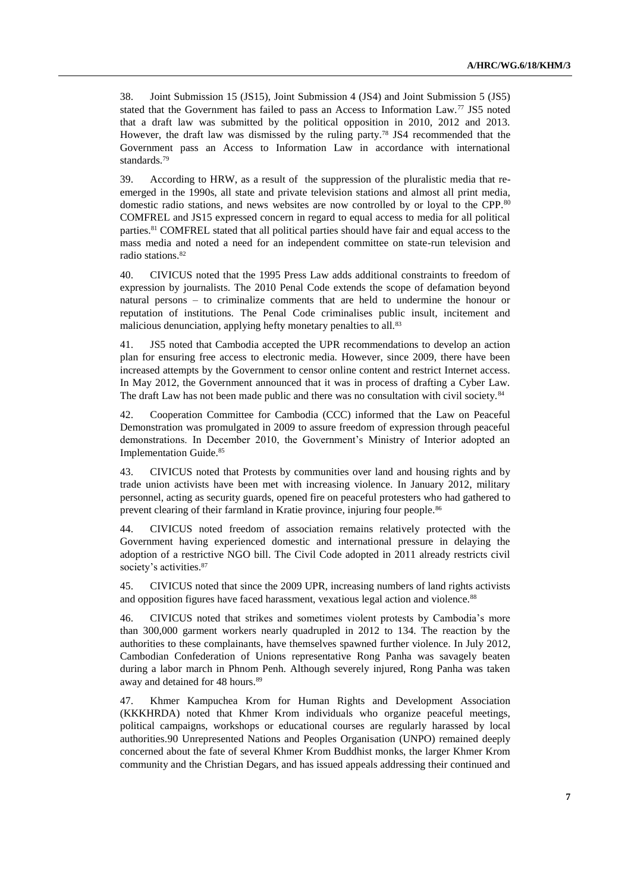38. Joint Submission 15 (JS15), Joint Submission 4 (JS4) and Joint Submission 5 (JS5) stated that the Government has failed to pass an Access to Information Law.<sup>77</sup> JS5 noted that a draft law was submitted by the political opposition in 2010, 2012 and 2013. However, the draft law was dismissed by the ruling party.<sup>78</sup> JS4 recommended that the Government pass an Access to Information Law in accordance with international standards.<sup>79</sup>

39. According to HRW, as a result of the suppression of the pluralistic media that reemerged in the 1990s, all state and private television stations and almost all print media, domestic radio stations, and news websites are now controlled by or loyal to the CPP.<sup>80</sup> COMFREL and JS15 expressed concern in regard to equal access to media for all political parties.<sup>81</sup> COMFREL stated that all political parties should have fair and equal access to the mass media and noted a need for an independent committee on state-run television and radio stations.<sup>82</sup>

40. CIVICUS noted that the 1995 Press Law adds additional constraints to freedom of expression by journalists. The 2010 Penal Code extends the scope of defamation beyond natural persons – to criminalize comments that are held to undermine the honour or reputation of institutions. The Penal Code criminalises public insult, incitement and malicious denunciation, applying hefty monetary penalties to all.<sup>83</sup>

41. JS5 noted that Cambodia accepted the UPR recommendations to develop an action plan for ensuring free access to electronic media. However, since 2009, there have been increased attempts by the Government to censor online content and restrict Internet access. In May 2012, the Government announced that it was in process of drafting a Cyber Law. The draft Law has not been made public and there was no consultation with civil society.<sup>84</sup>

42. Cooperation Committee for Cambodia (CCC) informed that the Law on Peaceful Demonstration was promulgated in 2009 to assure freedom of expression through peaceful demonstrations. In December 2010, the Government's Ministry of Interior adopted an Implementation Guide.<sup>85</sup>

43. CIVICUS noted that Protests by communities over land and housing rights and by trade union activists have been met with increasing violence. In January 2012, military personnel, acting as security guards, opened fire on peaceful protesters who had gathered to prevent clearing of their farmland in Kratie province, injuring four people.<sup>86</sup>

44. CIVICUS noted freedom of association remains relatively protected with the Government having experienced domestic and international pressure in delaying the adoption of a restrictive NGO bill. The Civil Code adopted in 2011 already restricts civil society's activities.<sup>87</sup>

45. CIVICUS noted that since the 2009 UPR, increasing numbers of land rights activists and opposition figures have faced harassment, vexatious legal action and violence.<sup>88</sup>

46. CIVICUS noted that strikes and sometimes violent protests by Cambodia's more than 300,000 garment workers nearly quadrupled in 2012 to 134. The reaction by the authorities to these complainants, have themselves spawned further violence. In July 2012, Cambodian Confederation of Unions representative Rong Panha was savagely beaten during a labor march in Phnom Penh. Although severely injured, Rong Panha was taken away and detained for 48 hours.<sup>89</sup>

47. Khmer Kampuchea Krom for Human Rights and Development Association (KKKHRDA) noted that Khmer Krom individuals who organize peaceful meetings, political campaigns, workshops or educational courses are regularly harassed by local authorities.90 Unrepresented Nations and Peoples Organisation (UNPO) remained deeply concerned about the fate of several Khmer Krom Buddhist monks, the larger Khmer Krom community and the Christian Degars, and has issued appeals addressing their continued and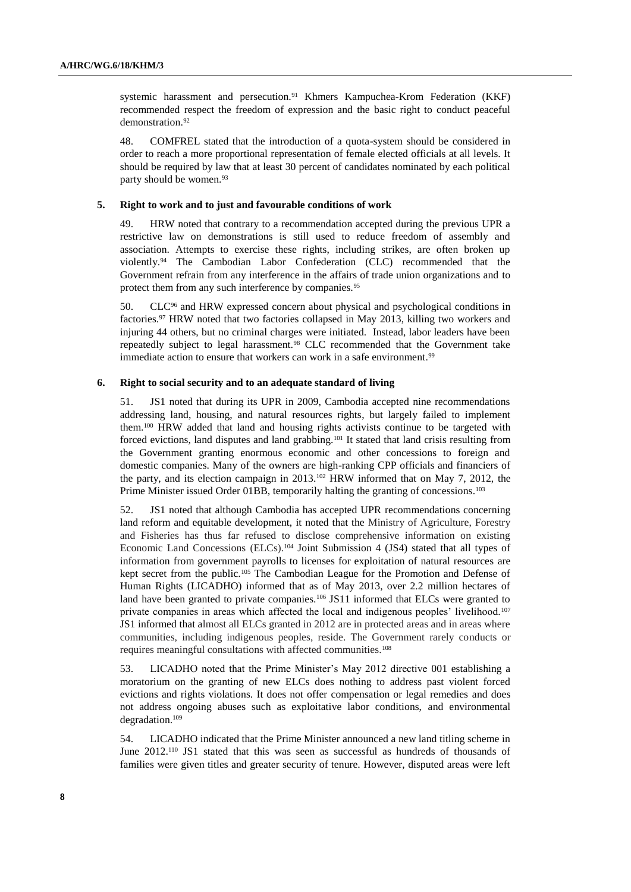systemic harassment and persecution.<sup>91</sup> Khmers Kampuchea-Krom Federation (KKF) recommended respect the freedom of expression and the basic right to conduct peaceful demonstration.<sup>92</sup>

48. COMFREL stated that the introduction of a quota-system should be considered in order to reach a more proportional representation of female elected officials at all levels. It should be required by law that at least 30 percent of candidates nominated by each political party should be women.<sup>93</sup>

#### **5. Right to work and to just and favourable conditions of work**

49. HRW noted that contrary to a recommendation accepted during the previous UPR a restrictive law on demonstrations is still used to reduce freedom of assembly and association. Attempts to exercise these rights, including strikes, are often broken up violently.<sup>94</sup> The Cambodian Labor Confederation (CLC) recommended that the Government refrain from any interference in the affairs of trade union organizations and to protect them from any such interference by companies.<sup>95</sup>

50. CLC<sup>96</sup> and HRW expressed concern about physical and psychological conditions in factories.<sup>97</sup> HRW noted that two factories collapsed in May 2013, killing two workers and injuring 44 others, but no criminal charges were initiated. Instead, labor leaders have been repeatedly subject to legal harassment.<sup>98</sup> CLC recommended that the Government take immediate action to ensure that workers can work in a safe environment. 99

#### **6. Right to social security and to an adequate standard of living**

51. JS1 noted that during its UPR in 2009, Cambodia accepted nine recommendations addressing land, housing, and natural resources rights, but largely failed to implement them.<sup>100</sup> HRW added that land and housing rights activists continue to be targeted with forced evictions, land disputes and land grabbing.<sup>101</sup> It stated that land crisis resulting from the Government granting enormous economic and other concessions to foreign and domestic companies. Many of the owners are high-ranking CPP officials and financiers of the party, and its election campaign in 2013.<sup>102</sup> HRW informed that on May 7, 2012, the Prime Minister issued Order 01BB, temporarily halting the granting of concessions.<sup>103</sup>

52. JS1 noted that although Cambodia has accepted UPR recommendations concerning land reform and equitable development, it noted that the Ministry of Agriculture, Forestry and Fisheries has thus far refused to disclose comprehensive information on existing Economic Land Concessions (ELCs).<sup>104</sup> Joint Submission 4 (JS4) stated that all types of information from government payrolls to licenses for exploitation of natural resources are kept secret from the public.<sup>105</sup> The Cambodian League for the Promotion and Defense of Human Rights (LICADHO) informed that as of May 2013, over 2.2 million hectares of land have been granted to private companies.<sup>106</sup> JS11 informed that ELCs were granted to private companies in areas which affected the local and indigenous peoples' livelihood.<sup>107</sup> JS1 informed that almost all ELCs granted in 2012 are in protected areas and in areas where communities, including indigenous peoples, reside. The Government rarely conducts or requires meaningful consultations with affected communities.<sup>108</sup>

53. LICADHO noted that the Prime Minister's May 2012 directive 001 establishing a moratorium on the granting of new ELCs does nothing to address past violent forced evictions and rights violations. It does not offer compensation or legal remedies and does not address ongoing abuses such as exploitative labor conditions, and environmental degradation. 109

54. LICADHO indicated that the Prime Minister announced a new land titling scheme in June 2012.<sup>110</sup> JS1 stated that this was seen as successful as hundreds of thousands of families were given titles and greater security of tenure. However, disputed areas were left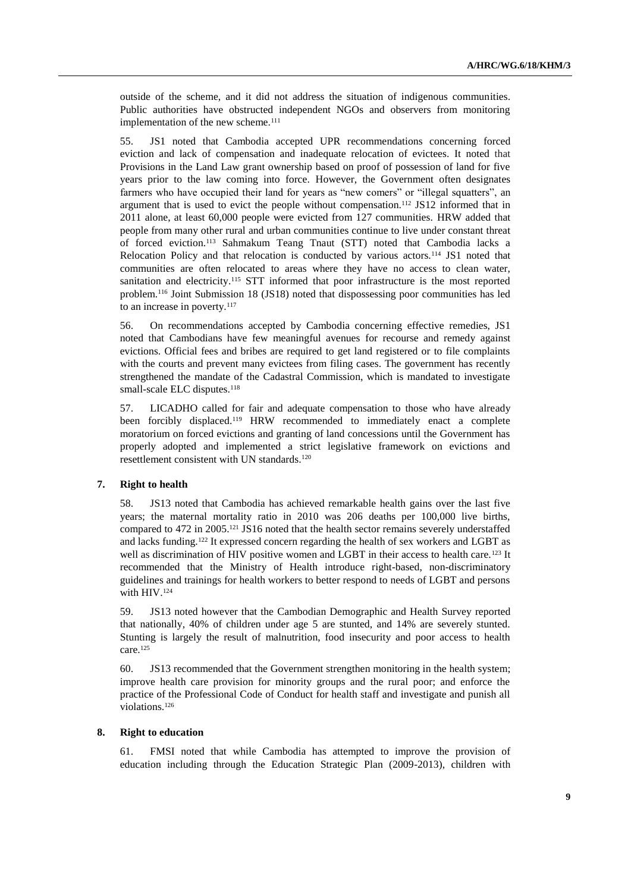outside of the scheme, and it did not address the situation of indigenous communities. Public authorities have obstructed independent NGOs and observers from monitoring implementation of the new scheme.<sup>111</sup>

55. JS1 noted that Cambodia accepted UPR recommendations concerning forced eviction and lack of compensation and inadequate relocation of evictees. It noted that Provisions in the Land Law grant ownership based on proof of possession of land for five years prior to the law coming into force. However, the Government often designates farmers who have occupied their land for years as "new comers" or "illegal squatters", an argument that is used to evict the people without compensation.<sup>112</sup> JS12 informed that in 2011 alone, at least 60,000 people were evicted from 127 communities. HRW added that people from many other rural and urban communities continue to live under constant threat of forced eviction.<sup>113</sup> Sahmakum Teang Tnaut (STT) noted that Cambodia lacks a Relocation Policy and that relocation is conducted by various actors.<sup>114</sup> JS1 noted that communities are often relocated to areas where they have no access to clean water, sanitation and electricity.<sup>115</sup> STT informed that poor infrastructure is the most reported problem.<sup>116</sup> Joint Submission 18 (JS18) noted that dispossessing poor communities has led to an increase in poverty.<sup>117</sup>

56. On recommendations accepted by Cambodia concerning effective remedies, JS1 noted that Cambodians have few meaningful avenues for recourse and remedy against evictions. Official fees and bribes are required to get land registered or to file complaints with the courts and prevent many evictees from filing cases. The government has recently strengthened the mandate of the Cadastral Commission, which is mandated to investigate small-scale ELC disputes.<sup>118</sup>

57. LICADHO called for fair and adequate compensation to those who have already been forcibly displaced.<sup>119</sup> HRW recommended to immediately enact a complete moratorium on forced evictions and granting of land concessions until the Government has properly adopted and implemented a strict legislative framework on evictions and resettlement consistent with UN standards. 120

#### **7. Right to health**

58. JS13 noted that Cambodia has achieved remarkable health gains over the last five years; the maternal mortality ratio in 2010 was 206 deaths per 100,000 live births, compared to 472 in 2005.<sup>121</sup> JS16 noted that the health sector remains severely understaffed and lacks funding.<sup>122</sup> It expressed concern regarding the health of sex workers and LGBT as well as discrimination of HIV positive women and LGBT in their access to health care.<sup>123</sup> It recommended that the Ministry of Health introduce right-based, non-discriminatory guidelines and trainings for health workers to better respond to needs of LGBT and persons with HIV.<sup>124</sup>

59. JS13 noted however that the Cambodian Demographic and Health Survey reported that nationally, 40% of children under age 5 are stunted, and 14% are severely stunted. Stunting is largely the result of malnutrition, food insecurity and poor access to health care.<sup>125</sup>

60. JS13 recommended that the Government strengthen monitoring in the health system; improve health care provision for minority groups and the rural poor; and enforce the practice of the Professional Code of Conduct for health staff and investigate and punish all violations.<sup>126</sup>

#### **8. Right to education**

61. FMSI noted that while Cambodia has attempted to improve the provision of education including through the Education Strategic Plan (2009-2013), children with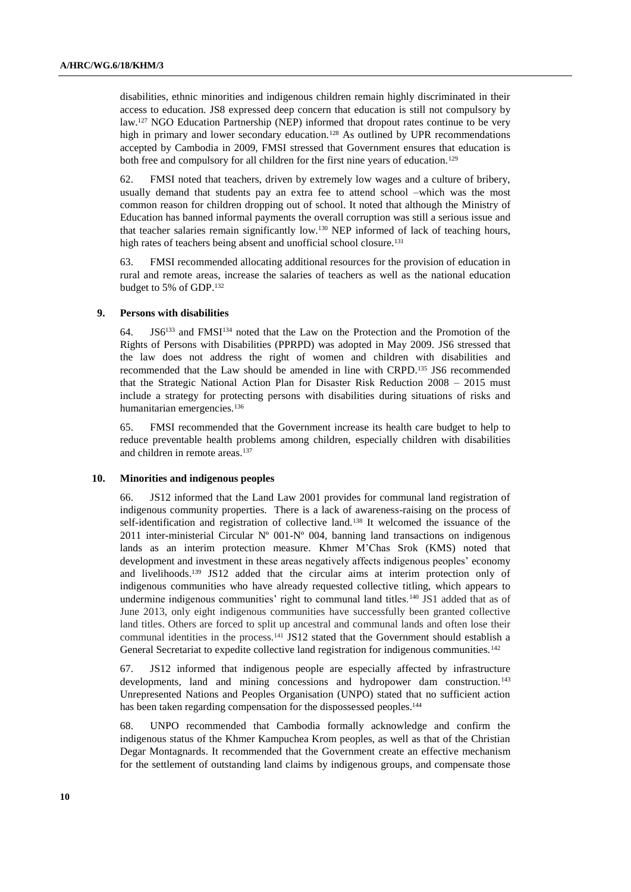disabilities, ethnic minorities and indigenous children remain highly discriminated in their access to education. JS8 expressed deep concern that education is still not compulsory by law.<sup>127</sup> NGO Education Partnership (NEP) informed that dropout rates continue to be very high in primary and lower secondary education.<sup>128</sup> As outlined by UPR recommendations accepted by Cambodia in 2009, FMSI stressed that Government ensures that education is both free and compulsory for all children for the first nine years of education.<sup>129</sup>

62. FMSI noted that teachers, driven by extremely low wages and a culture of bribery, usually demand that students pay an extra fee to attend school –which was the most common reason for children dropping out of school. It noted that although the Ministry of Education has banned informal payments the overall corruption was still a serious issue and that teacher salaries remain significantly low.<sup>130</sup> NEP informed of lack of teaching hours, high rates of teachers being absent and unofficial school closure.<sup>131</sup>

63. FMSI recommended allocating additional resources for the provision of education in rural and remote areas, increase the salaries of teachers as well as the national education budget to 5% of GDP. 132

#### **9. Persons with disabilities**

64. JS6<sup>133</sup> and FMSI<sup>134</sup> noted that the Law on the Protection and the Promotion of the Rights of Persons with Disabilities (PPRPD) was adopted in May 2009. JS6 stressed that the law does not address the right of women and children with disabilities and recommended that the Law should be amended in line with CRPD.<sup>135</sup> JS6 recommended that the Strategic National Action Plan for Disaster Risk Reduction 2008 – 2015 must include a strategy for protecting persons with disabilities during situations of risks and humanitarian emergencies.<sup>136</sup>

65. FMSI recommended that the Government increase its health care budget to help to reduce preventable health problems among children, especially children with disabilities and children in remote areas.<sup>137</sup>

#### **10. Minorities and indigenous peoples**

66. JS12 informed that the Land Law 2001 provides for communal land registration of indigenous community properties. There is a lack of awareness-raising on the process of self-identification and registration of collective land.<sup>138</sup> It welcomed the issuance of the 2011 inter-ministerial Circular Nº 001-Nº 004, banning land transactions on indigenous lands as an interim protection measure. Khmer M'Chas Srok (KMS) noted that development and investment in these areas negatively affects indigenous peoples' economy and livelihoods.<sup>139</sup> JS12 added that the circular aims at interim protection only of indigenous communities who have already requested collective titling, which appears to undermine indigenous communities' right to communal land titles.<sup>140</sup> JS1 added that as of June 2013, only eight indigenous communities have successfully been granted collective land titles. Others are forced to split up ancestral and communal lands and often lose their communal identities in the process.<sup>141</sup> JS12 stated that the Government should establish a General Secretariat to expedite collective land registration for indigenous communities.<sup>142</sup>

67. JS12 informed that indigenous people are especially affected by infrastructure developments, land and mining concessions and hydropower dam construction.<sup>143</sup> Unrepresented Nations and Peoples Organisation (UNPO) stated that no sufficient action has been taken regarding compensation for the dispossessed peoples.<sup>144</sup>

68. UNPO recommended that Cambodia formally acknowledge and confirm the indigenous status of the Khmer Kampuchea Krom peoples, as well as that of the Christian Degar Montagnards. It recommended that the Government create an effective mechanism for the settlement of outstanding land claims by indigenous groups, and compensate those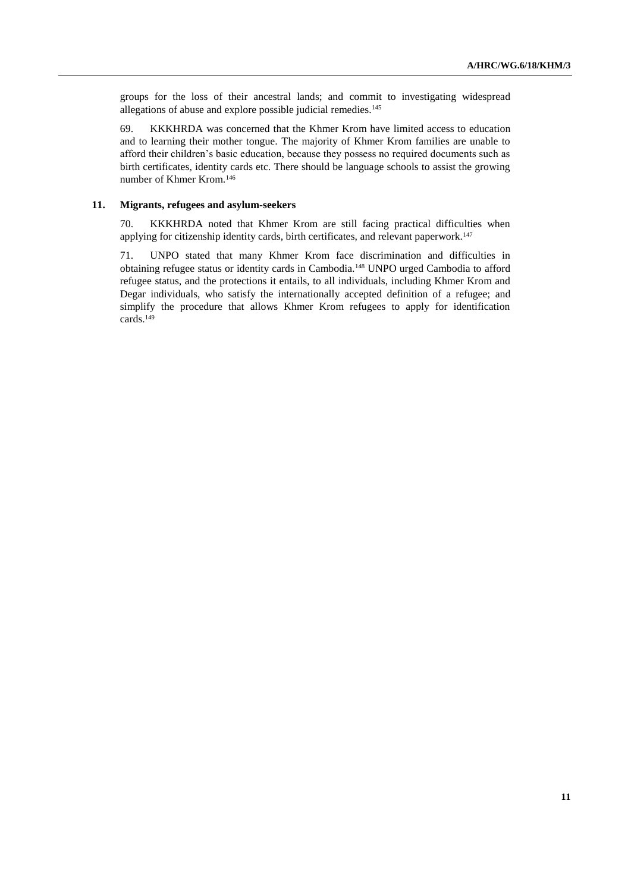groups for the loss of their ancestral lands; and commit to investigating widespread allegations of abuse and explore possible judicial remedies.<sup>145</sup>

69. KKKHRDA was concerned that the Khmer Krom have limited access to education and to learning their mother tongue. The majority of Khmer Krom families are unable to afford their children's basic education, because they possess no required documents such as birth certificates, identity cards etc. There should be language schools to assist the growing number of Khmer Krom.<sup>146</sup>

### **11. Migrants, refugees and asylum-seekers**

70. KKKHRDA noted that Khmer Krom are still facing practical difficulties when applying for citizenship identity cards, birth certificates, and relevant paperwork.<sup>147</sup>

71. UNPO stated that many Khmer Krom face discrimination and difficulties in obtaining refugee status or identity cards in Cambodia.<sup>148</sup> UNPO urged Cambodia to afford refugee status, and the protections it entails, to all individuals, including Khmer Krom and Degar individuals, who satisfy the internationally accepted definition of a refugee; and simplify the procedure that allows Khmer Krom refugees to apply for identification cards. 149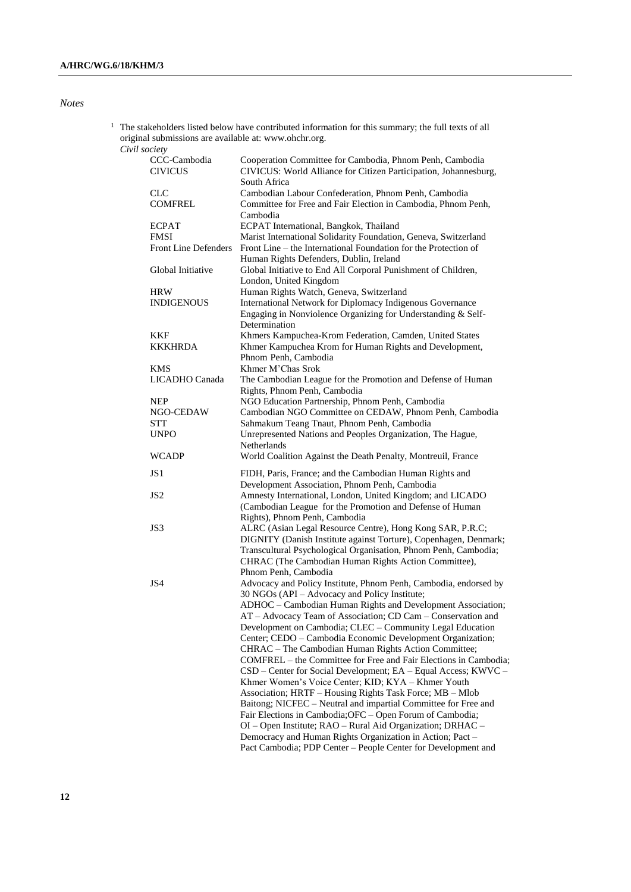*Notes*

 $1$  The stakeholders listed below have contributed information for this summary; the full texts of all original submissions are available at: [www.ohchr.org.](http://www.ohchr.org/) *Civil society*

| CCC-Cambodia<br><b>CIVICUS</b> | Cooperation Committee for Cambodia, Phnom Penh, Cambodia<br>CIVICUS: World Alliance for Citizen Participation, Johannesburg, |
|--------------------------------|------------------------------------------------------------------------------------------------------------------------------|
|                                | South Africa                                                                                                                 |
| CLC                            | Cambodian Labour Confederation, Phnom Penh, Cambodia                                                                         |
| <b>COMFREL</b>                 | Committee for Free and Fair Election in Cambodia, Phnom Penh,                                                                |
|                                | Cambodia                                                                                                                     |
| ECPAT                          | ECPAT International, Bangkok, Thailand                                                                                       |
| <b>FMSI</b>                    | Marist International Solidarity Foundation, Geneva, Switzerland                                                              |
| <b>Front Line Defenders</b>    | Front Line – the International Foundation for the Protection of                                                              |
|                                | Human Rights Defenders, Dublin, Ireland                                                                                      |
| Global Initiative              | Global Initiative to End All Corporal Punishment of Children,                                                                |
|                                | London, United Kingdom                                                                                                       |
| <b>HRW</b>                     | Human Rights Watch, Geneva, Switzerland                                                                                      |
| <b>INDIGENOUS</b>              | International Network for Diplomacy Indigenous Governance                                                                    |
|                                | Engaging in Nonviolence Organizing for Understanding & Self-                                                                 |
|                                | Determination                                                                                                                |
| KKF                            | Khmers Kampuchea-Krom Federation, Camden, United States                                                                      |
| KKKHRDA                        | Khmer Kampuchea Krom for Human Rights and Development,                                                                       |
|                                | Phnom Penh, Cambodia                                                                                                         |
| KMS                            | Khmer M'Chas Srok                                                                                                            |
| LICADHO Canada                 | The Cambodian League for the Promotion and Defense of Human                                                                  |
|                                | Rights, Phnom Penh, Cambodia                                                                                                 |
| <b>NEP</b>                     | NGO Education Partnership, Phnom Penh, Cambodia                                                                              |
| NGO-CEDAW                      | Cambodian NGO Committee on CEDAW, Phnom Penh, Cambodia                                                                       |
| <b>STT</b>                     | Sahmakum Teang Tnaut, Phnom Penh, Cambodia                                                                                   |
| <b>UNPO</b>                    | Unrepresented Nations and Peoples Organization, The Hague,                                                                   |
|                                | <b>Netherlands</b>                                                                                                           |
| <b>WCADP</b>                   | World Coalition Against the Death Penalty, Montreuil, France                                                                 |
| JS 1                           | FIDH, Paris, France; and the Cambodian Human Rights and                                                                      |
|                                | Development Association, Phnom Penh, Cambodia                                                                                |
| JS <sub>2</sub>                | Amnesty International, London, United Kingdom; and LICADO                                                                    |
|                                | (Cambodian League for the Promotion and Defense of Human                                                                     |
|                                | Rights), Phnom Penh, Cambodia                                                                                                |
| JS3                            | ALRC (Asian Legal Resource Centre), Hong Kong SAR, P.R.C;                                                                    |
|                                | DIGNITY (Danish Institute against Torture), Copenhagen, Denmark;                                                             |
|                                | Transcultural Psychological Organisation, Phnom Penh, Cambodia;                                                              |
|                                | CHRAC (The Cambodian Human Rights Action Committee),                                                                         |
|                                | Phnom Penh, Cambodia                                                                                                         |
| JS4                            | Advocacy and Policy Institute, Phnom Penh, Cambodia, endorsed by                                                             |
|                                | 30 NGOs (API - Advocacy and Policy Institute;                                                                                |
|                                | ADHOC - Cambodian Human Rights and Development Association;                                                                  |
|                                | AT - Advocacy Team of Association; CD Cam - Conservation and                                                                 |
|                                | Development on Cambodia; CLEC – Community Legal Education                                                                    |
|                                | Center; CEDO - Cambodia Economic Development Organization;                                                                   |
|                                | CHRAC - The Cambodian Human Rights Action Committee;                                                                         |
|                                | COMFREL – the Committee for Free and Fair Elections in Cambodia;                                                             |
|                                | CSD - Center for Social Development; EA - Equal Access; KWVC -                                                               |
|                                | Khmer Women's Voice Center; KID; KYA - Khmer Youth                                                                           |
|                                | Association; HRTF - Housing Rights Task Force; MB - Mlob                                                                     |
|                                | Baitong; NICFEC - Neutral and impartial Committee for Free and                                                               |
|                                | Fair Elections in Cambodia; OFC - Open Forum of Cambodia;                                                                    |
|                                |                                                                                                                              |
|                                | OI - Open Institute; RAO - Rural Aid Organization; DRHAC -                                                                   |
|                                | Democracy and Human Rights Organization in Action; Pact -                                                                    |
|                                | Pact Cambodia; PDP Center - People Center for Development and                                                                |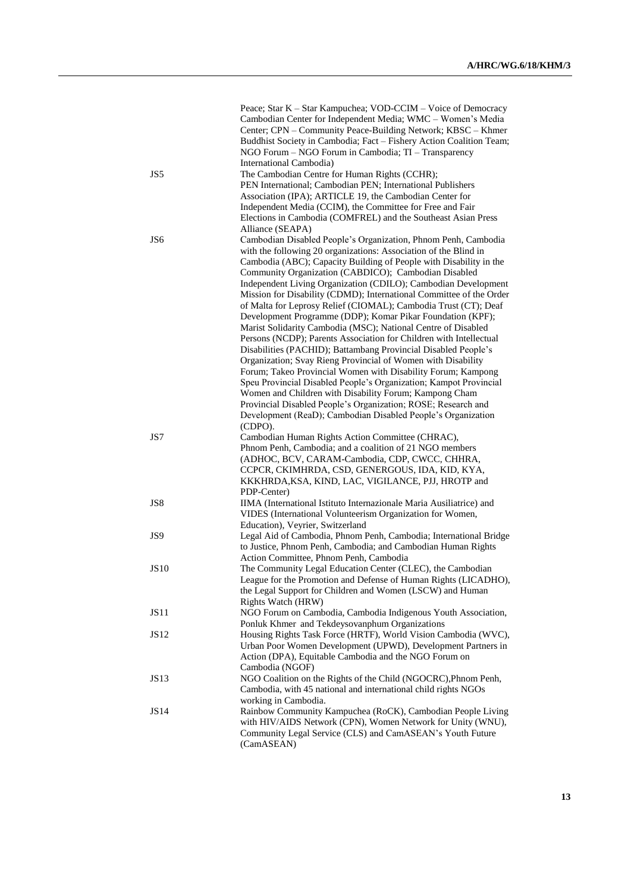|             | Peace; Star K - Star Kampuchea; VOD-CCIM - Voice of Democracy<br>Cambodian Center for Independent Media; WMC - Women's Media<br>Center; CPN - Community Peace-Building Network; KBSC - Khmer<br>Buddhist Society in Cambodia; Fact - Fishery Action Coalition Team;<br>NGO Forum - NGO Forum in Cambodia; TI - Transparency<br>International Cambodia)                                                                                                                                                                                                                                                                                                                                                                                                                                                                                                                                                                                                                                                                                                                                                                                                         |
|-------------|----------------------------------------------------------------------------------------------------------------------------------------------------------------------------------------------------------------------------------------------------------------------------------------------------------------------------------------------------------------------------------------------------------------------------------------------------------------------------------------------------------------------------------------------------------------------------------------------------------------------------------------------------------------------------------------------------------------------------------------------------------------------------------------------------------------------------------------------------------------------------------------------------------------------------------------------------------------------------------------------------------------------------------------------------------------------------------------------------------------------------------------------------------------|
| JS5         | The Cambodian Centre for Human Rights (CCHR);<br>PEN International; Cambodian PEN; International Publishers<br>Association (IPA); ARTICLE 19, the Cambodian Center for<br>Independent Media (CCIM), the Committee for Free and Fair<br>Elections in Cambodia (COMFREL) and the Southeast Asian Press<br>Alliance (SEAPA)                                                                                                                                                                                                                                                                                                                                                                                                                                                                                                                                                                                                                                                                                                                                                                                                                                       |
| JS6         | Cambodian Disabled People's Organization, Phnom Penh, Cambodia<br>with the following 20 organizations: Association of the Blind in<br>Cambodia (ABC); Capacity Building of People with Disability in the<br>Community Organization (CABDICO); Cambodian Disabled<br>Independent Living Organization (CDILO); Cambodian Development<br>Mission for Disability (CDMD); International Committee of the Order<br>of Malta for Leprosy Relief (CIOMAL); Cambodia Trust (CT); Deaf<br>Development Programme (DDP); Komar Pikar Foundation (KPF);<br>Marist Solidarity Cambodia (MSC); National Centre of Disabled<br>Persons (NCDP); Parents Association for Children with Intellectual<br>Disabilities (PACHID); Battambang Provincial Disabled People's<br>Organization; Svay Rieng Provincial of Women with Disability<br>Forum; Takeo Provincial Women with Disability Forum; Kampong<br>Speu Provincial Disabled People's Organization; Kampot Provincial<br>Women and Children with Disability Forum; Kampong Cham<br>Provincial Disabled People's Organization; ROSE; Research and<br>Development (ReaD); Cambodian Disabled People's Organization<br>(CDPO). |
| JS7         | Cambodian Human Rights Action Committee (CHRAC),<br>Phnom Penh, Cambodia; and a coalition of 21 NGO members<br>(ADHOC, BCV, CARAM-Cambodia, CDP, CWCC, CHHRA,<br>CCPCR, CKIMHRDA, CSD, GENERGOUS, IDA, KID, KYA,<br>KKKHRDA, KSA, KIND, LAC, VIGILANCE, PJJ, HROTP and<br>PDP-Center)                                                                                                                                                                                                                                                                                                                                                                                                                                                                                                                                                                                                                                                                                                                                                                                                                                                                          |
| JS8         | IIMA (International Istituto Internazionale Maria Ausiliatrice) and<br>VIDES (International Volunteerism Organization for Women,<br>Education), Veyrier, Switzerland                                                                                                                                                                                                                                                                                                                                                                                                                                                                                                                                                                                                                                                                                                                                                                                                                                                                                                                                                                                           |
| JS9         | Legal Aid of Cambodia, Phnom Penh, Cambodia; International Bridge<br>to Justice, Phnom Penh, Cambodia; and Cambodian Human Rights<br>Action Committee, Phnom Penh, Cambodia                                                                                                                                                                                                                                                                                                                                                                                                                                                                                                                                                                                                                                                                                                                                                                                                                                                                                                                                                                                    |
| <b>JS10</b> | The Community Legal Education Center (CLEC), the Cambodian<br>League for the Promotion and Defense of Human Rights (LICADHO),<br>the Legal Support for Children and Women (LSCW) and Human<br>Rights Watch (HRW)                                                                                                                                                                                                                                                                                                                                                                                                                                                                                                                                                                                                                                                                                                                                                                                                                                                                                                                                               |
| JS11        | NGO Forum on Cambodia, Cambodia Indigenous Youth Association,<br>Ponluk Khmer and Tekdeysovanphum Organizations                                                                                                                                                                                                                                                                                                                                                                                                                                                                                                                                                                                                                                                                                                                                                                                                                                                                                                                                                                                                                                                |
| <b>JS12</b> | Housing Rights Task Force (HRTF), World Vision Cambodia (WVC),<br>Urban Poor Women Development (UPWD), Development Partners in<br>Action (DPA), Equitable Cambodia and the NGO Forum on<br>Cambodia (NGOF)                                                                                                                                                                                                                                                                                                                                                                                                                                                                                                                                                                                                                                                                                                                                                                                                                                                                                                                                                     |
| <b>JS13</b> | NGO Coalition on the Rights of the Child (NGOCRC), Phnom Penh,<br>Cambodia, with 45 national and international child rights NGOs<br>working in Cambodia.                                                                                                                                                                                                                                                                                                                                                                                                                                                                                                                                                                                                                                                                                                                                                                                                                                                                                                                                                                                                       |
| JS14        | Rainbow Community Kampuchea (RoCK), Cambodian People Living<br>with HIV/AIDS Network (CPN), Women Network for Unity (WNU),<br>Community Legal Service (CLS) and CamASEAN's Youth Future<br>(CamASEAN)                                                                                                                                                                                                                                                                                                                                                                                                                                                                                                                                                                                                                                                                                                                                                                                                                                                                                                                                                          |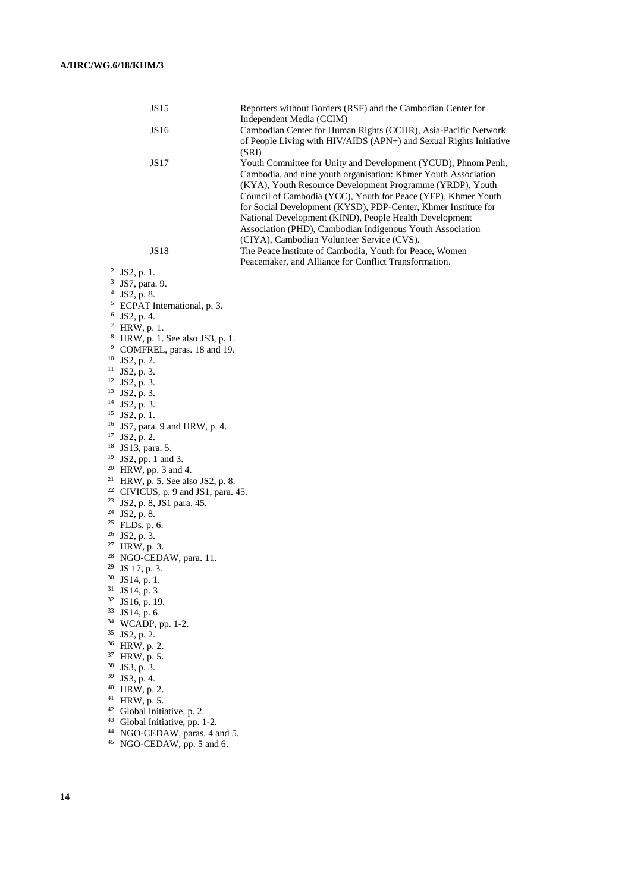|    | <b>JS15</b>                                               | Reporters without Borders (RSF) and the Cambodian Center for<br>Independent Media (CCIM)                                        |
|----|-----------------------------------------------------------|---------------------------------------------------------------------------------------------------------------------------------|
|    | JS16                                                      | Cambodian Center for Human Rights (CCHR), Asia-Pacific Network                                                                  |
|    |                                                           | of People Living with HIV/AIDS (APN+) and Sexual Rights Initiative                                                              |
|    |                                                           | (SRI)                                                                                                                           |
|    | <b>JS17</b>                                               | Youth Committee for Unity and Development (YCUD), Phnom Penh,                                                                   |
|    |                                                           | Cambodia, and nine youth organisation: Khmer Youth Association                                                                  |
|    |                                                           | (KYA), Youth Resource Development Programme (YRDP), Youth                                                                       |
|    |                                                           | Council of Cambodia (YCC), Youth for Peace (YFP), Khmer Youth<br>for Social Development (KYSD), PDP-Center, Khmer Institute for |
|    |                                                           | National Development (KIND), People Health Development                                                                          |
|    |                                                           | Association (PHD), Cambodian Indigenous Youth Association                                                                       |
|    |                                                           | (CIYA), Cambodian Volunteer Service (CVS).                                                                                      |
|    | <b>JS18</b>                                               | The Peace Institute of Cambodia, Youth for Peace, Women                                                                         |
|    |                                                           | Peacemaker, and Alliance for Conflict Transformation.                                                                           |
|    | $2$ JS2, p. 1.                                            |                                                                                                                                 |
|    | <sup>3</sup> JS7, para. 9.                                |                                                                                                                                 |
|    | $4$ JS2, p. 8.                                            |                                                                                                                                 |
| 6  | <sup>5</sup> ECPAT International, p. 3.<br>JS2, p. 4.     |                                                                                                                                 |
|    | $7$ HRW, p. 1.                                            |                                                                                                                                 |
|    | <sup>8</sup> HRW, p. 1. See also JS3, p. 1.               |                                                                                                                                 |
| 9  | COMFREL, paras. 18 and 19.                                |                                                                                                                                 |
|    | $10$ JS2, p. 2.                                           |                                                                                                                                 |
|    | $11$ JS2, p. 3.                                           |                                                                                                                                 |
|    | $12$ JS2, p. 3.                                           |                                                                                                                                 |
|    | <sup>13</sup> JS2, p. 3.                                  |                                                                                                                                 |
|    | $14$ JS2, p. 3.<br><sup>15</sup> JS2, p. 1.               |                                                                                                                                 |
|    | $16$ JS7, para. 9 and HRW, p. 4.                          |                                                                                                                                 |
|    | $17$ JS2, p. 2.                                           |                                                                                                                                 |
|    | <sup>18</sup> JS13, para. 5.                              |                                                                                                                                 |
|    | <sup>19</sup> JS2, pp. 1 and 3.                           |                                                                                                                                 |
|    | $20$ HRW, pp. 3 and 4.                                    |                                                                                                                                 |
|    | <sup>21</sup> HRW, p. 5. See also JS2, p. 8.              |                                                                                                                                 |
|    | <sup>22</sup> CIVICUS, p. 9 and JS1, para. 45.            |                                                                                                                                 |
|    | <sup>23</sup> JS2, p. 8, JS1 para. 45.<br>$24$ JS2, p. 8. |                                                                                                                                 |
|    | $25$ FLDs, p. 6.                                          |                                                                                                                                 |
|    | <sup>26</sup> JS2, p. 3.                                  |                                                                                                                                 |
|    | <sup>27</sup> HRW, p. 3.                                  |                                                                                                                                 |
| 28 | NGO-CEDAW, para. 11.                                      |                                                                                                                                 |
| 29 | JS 17, p. 3.                                              |                                                                                                                                 |
| 31 | <sup>30</sup> JS14, p. 1.                                 |                                                                                                                                 |
|    | JS14, p. 3.<br><sup>32</sup> JS16, p. 19.                 |                                                                                                                                 |
|    | <sup>33</sup> JS14, p. 6.                                 |                                                                                                                                 |
| 34 | WCADP, pp. 1-2.                                           |                                                                                                                                 |
| 35 | JS2, p. 2.                                                |                                                                                                                                 |
|    | <sup>36</sup> HRW, p. 2.                                  |                                                                                                                                 |
|    | <sup>37</sup> HRW, p. 5.                                  |                                                                                                                                 |
| 38 | JS3, p. 3.                                                |                                                                                                                                 |
| 39 | JS3, p. 4.                                                |                                                                                                                                 |
|    | $40$ HRW, p. 2.<br>$41$ HRW, p. 5.                        |                                                                                                                                 |
| 42 | Global Initiative, p. 2.                                  |                                                                                                                                 |
| 43 | Global Initiative, pp. 1-2.                               |                                                                                                                                 |
|    | <sup>44</sup> NGO-CEDAW, paras. 4 and 5.                  |                                                                                                                                 |
| 45 | NGO-CEDAW, pp. 5 and 6.                                   |                                                                                                                                 |
|    |                                                           |                                                                                                                                 |
|    |                                                           |                                                                                                                                 |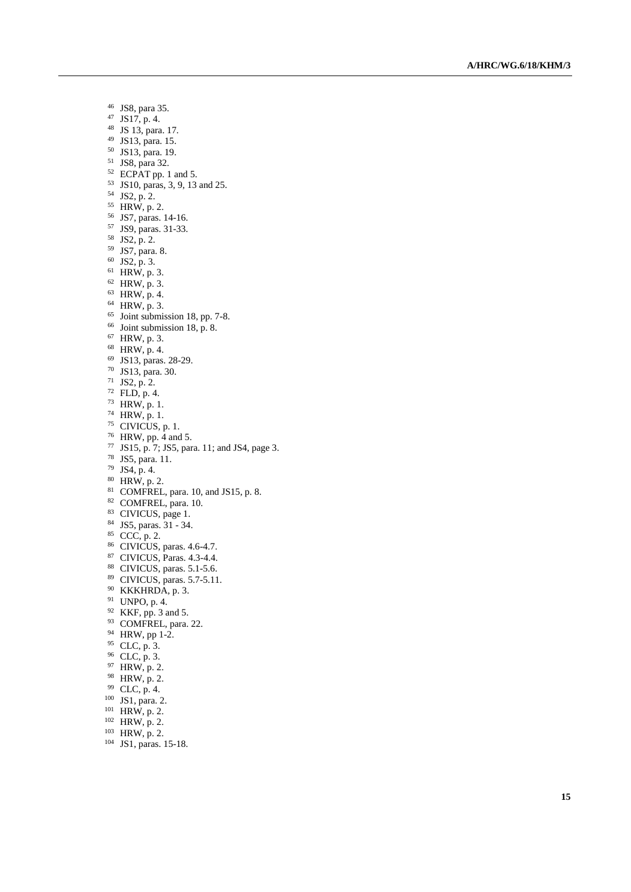- JS8, para 35.
- JS17, p. 4.
- JS 13, para . 17.
- JS13, para. 15.
- JS13, para. 19.
- JS8, para 32.
- ECPAT pp. 1 and 5.
- JS10, paras, 3, 9, 13 and 25.
- JS2, p. 2.
- HRW, p . 2.
- JS7, paras . 14 -16.
- JS9, paras . 31 -33.
- JS2, p. 2.
- JS7, para. 8.
- JS2, p. 3.
- HRW, p. 3.
- HRW, p. 3.
- HRW, p . 4.
- HRW, p . 3.
- 
- Joint submission 18, pp. 7 -8. Joint submission 18, p. 8.
- 
- HRW, p. 3.
- HRW, p . 4.
- JS13, paras . 28 -29.
- JS13, para . 30.
- JS2, p. 2.
- FLD, p. 4.
- 73 HRW, p. 1.
- HRW, p. 1.
- CIVICUS, p. 1.
- HRW, pp. 4 and 5.
- JS15, p . 7; JS5, para. 11; and JS4, page 3.
- JS5, para. 11.
- JS4, p. 4.
- HRW, p . 2.
- COMFREL, para. 10, and JS15, p. 8.
- COMFREL, para . 10.
- CIVICUS, page 1.
- 84 JS5, paras. 31 34.
- CCC, p . 2.
- 
- CIVICUS, paras. 4.6 -4.7. CIVICUS, Paras. 4.3 -4.4.
- 
- CIVICUS, paras . 5.1 -5.6.
- CIVICUS, paras . 5.7 -5.11.
- <sup>90</sup> KKKHRDA, p. 3.
- UNPO, p. 4.
- KKF, pp. 3 and 5.
- 93 COMFREL, para. 22.
- <sup>94</sup> HRW, pp 1-2.
- CLC, p. 3.
- <sup>96</sup> CLC, p. 3.
- HRW, p. 2.
- 98 HRW, p. 2.
- CLC, p. 4.
- 
- JS1, para . 2.
- HRW, p . 2.
- HRW, p . 2.
- HRW, p. 2.
- <sup>104</sup> JS1, paras. 15-18.